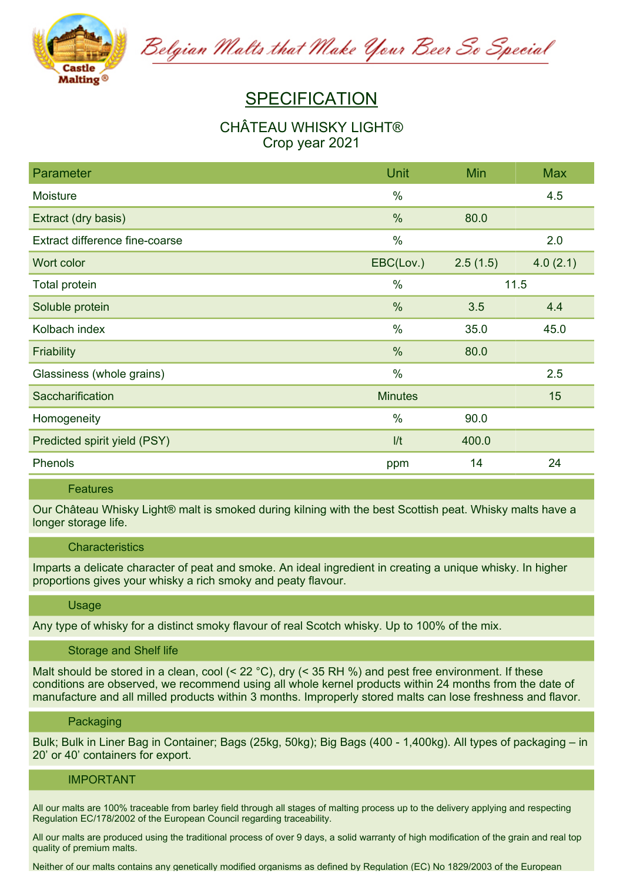

Belgian Malts that Make Your Beer So Special

# **SPECIFICATION**

## **CHÂTEAU WHISKY LIGHT® Crop year 2021**

| <b>Parameter</b>               | Unit           | Min      | <b>Max</b> |
|--------------------------------|----------------|----------|------------|
| Moisture                       | $\%$           |          | 4.5        |
| Extract (dry basis)            | %              | 80.0     |            |
| Extract difference fine-coarse | $\frac{0}{0}$  |          | 2.0        |
| Wort color                     | EBC(Lov.)      | 2.5(1.5) | 4.0(2.1)   |
| Total protein                  | $\%$           | 11.5     |            |
| Soluble protein                | $\frac{0}{0}$  | 3.5      | 4.4        |
| Kolbach index                  | $\%$           | 35.0     | 45.0       |
| <b>Friability</b>              | %              | 80.0     |            |
| Glassiness (whole grains)      | $\frac{0}{0}$  |          | 2.5        |
| Saccharification               | <b>Minutes</b> |          | 15         |
| Homogeneity                    | $\frac{0}{0}$  | 90.0     |            |
| Predicted spirit yield (PSY)   | 1/t            | 400.0    |            |
| Phenols                        | ppm            | 14       | 24         |

## **Features**

Our Château Whisky Light® malt is smoked during kilning with the best Scottish peat. Whisky malts have a **longer storage life.**

## **Characteristics**

Imparts a delicate character of peat and smoke. An ideal ingredient in creating a unique whisky. In higher **proportions gives your whisky a rich smoky and peaty flavour.**

## **Usage**

Any type of whisky for a distinct smoky flavour of real Scotch whisky. Up to 100% of the mix.

### **Storage and Shelf life**

Malt should be stored in a clean, cool (< 22 °C), dry (< 35 RH %) and pest free environment. If these **conditions are observed, we recommend using all whole kernel products within 24 months from the date of manufacture and all milled products within 3 months. Improperly stored malts can lose freshness and flavor.**

#### **Packaging**

Bulk; Bulk in Liner Bag in Container; Bags (25kg, 50kg); Big Bags (400 - 1,400kg). All types of packaging – in **20' or 40' containers for export.**

### **IMPORTANT**

All our malts are 100% traceable from barley field through all stages of malting process up to the delivery applying and respecting **Regulation EC/178/2002 of the European Council regarding traceability.**

All our malts are produced using the traditional process of over 9 days, a solid warranty of high modification of the grain and real top **quality of premium malts.**

Neither of our malts contains any genetically modified organisms as defined by Regulation (FC) No 1829/2003 of the European